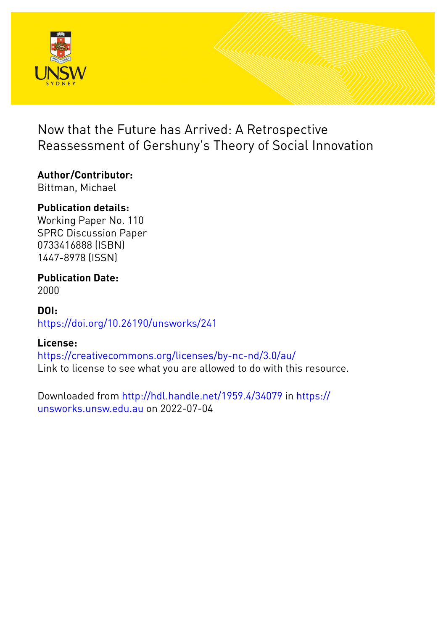

## Now that the Future has Arrived: A Retrospective Reassessment of Gershuny's Theory of Social Innovation

## **Author/Contributor:**

Bittman, Michael

## **Publication details:**

Working Paper No. 110 SPRC Discussion Paper 0733416888 (ISBN) 1447-8978 (ISSN)

#### **Publication Date:** 2000

## **DOI:** [https://doi.org/10.26190/unsworks/241](http://dx.doi.org/https://doi.org/10.26190/unsworks/241)

## **License:**

<https://creativecommons.org/licenses/by-nc-nd/3.0/au/> Link to license to see what you are allowed to do with this resource.

Downloaded from <http://hdl.handle.net/1959.4/34079> in [https://](https://unsworks.unsw.edu.au) [unsworks.unsw.edu.au](https://unsworks.unsw.edu.au) on 2022-07-04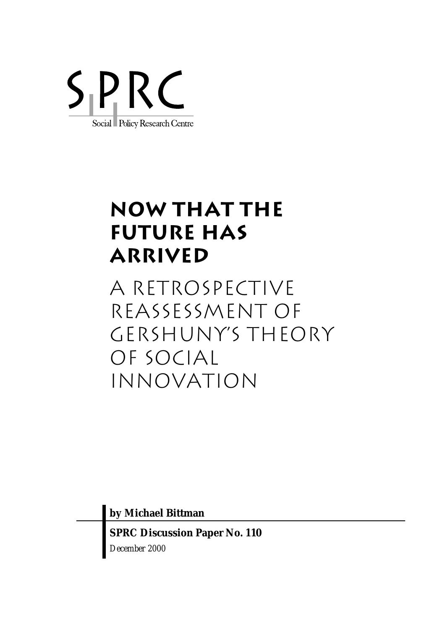

# **NOW THAT THE FUTURE HAS ARRIVED**

A RETROSPECTIVE REASSESSMENT OF GERSHUNY'S THEORY OF SOCIAL **INNOVATION** 

**by Michael Bittman**

**SPRC Discussion Paper No. 110** *December 2000*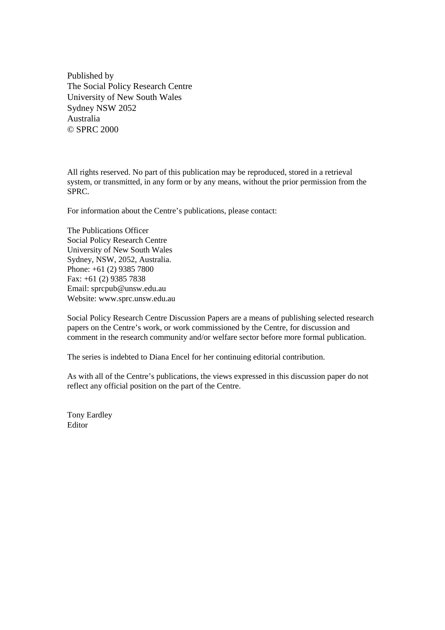Published by The Social Policy Research Centre University of New South Wales Sydney NSW 2052 Australia © SPRC 2000

All rights reserved. No part of this publication may be reproduced, stored in a retrieval system, or transmitted, in any form or by any means, without the prior permission from the SPRC.

For information about the Centre's publications, please contact:

The Publications Officer Social Policy Research Centre University of New South Wales Sydney, NSW, 2052, Australia. Phone: +61 (2) 9385 7800 Fax: +61 (2) 9385 7838 Email: sprcpub@unsw.edu.au Website: www.sprc.unsw.edu.au

Social Policy Research Centre Discussion Papers are a means of publishing selected research papers on the Centre's work, or work commissioned by the Centre, for discussion and comment in the research community and/or welfare sector before more formal publication.

The series is indebted to Diana Encel for her continuing editorial contribution.

As with all of the Centre's publications, the views expressed in this discussion paper do not reflect any official position on the part of the Centre.

Tony Eardley Editor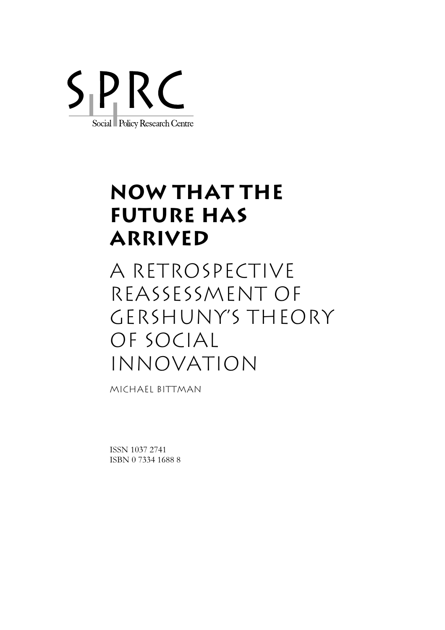

# **NOW THAT THE FUTURE HAS ARRIVED**

A RETROSPECTIVE REASSESSMENT OF GERSHUNY'S THEORY OF SOCIAL **INNOVATION** 

MICHAEL BITTMAN

ISSN 1037 2741 ISBN 0 7334 1688 8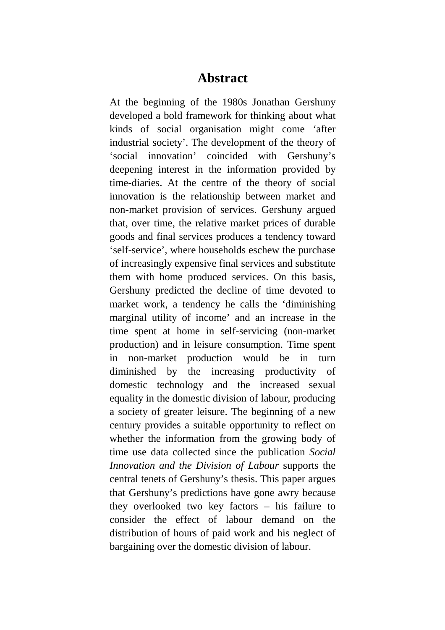#### **Abstract**

At the beginning of the 1980s Jonathan Gershuny developed a bold framework for thinking about what kinds of social organisation might come 'after industrial society'. The development of the theory of 'social innovation' coincided with Gershuny's deepening interest in the information provided by time-diaries. At the centre of the theory of social innovation is the relationship between market and non-market provision of services. Gershuny argued that, over time, the relative market prices of durable goods and final services produces a tendency toward 'self-service', where households eschew the purchase of increasingly expensive final services and substitute them with home produced services. On this basis, Gershuny predicted the decline of time devoted to market work, a tendency he calls the 'diminishing marginal utility of income' and an increase in the time spent at home in self-servicing (non-market production) and in leisure consumption. Time spent in non-market production would be in turn diminished by the increasing productivity of domestic technology and the increased sexual equality in the domestic division of labour, producing a society of greater leisure. The beginning of a new century provides a suitable opportunity to reflect on whether the information from the growing body of time use data collected since the publication *Social Innovation and the Division of Labour* supports the central tenets of Gershuny's thesis. This paper argues that Gershuny's predictions have gone awry because they overlooked two key factors – his failure to consider the effect of labour demand on the distribution of hours of paid work and his neglect of bargaining over the domestic division of labour.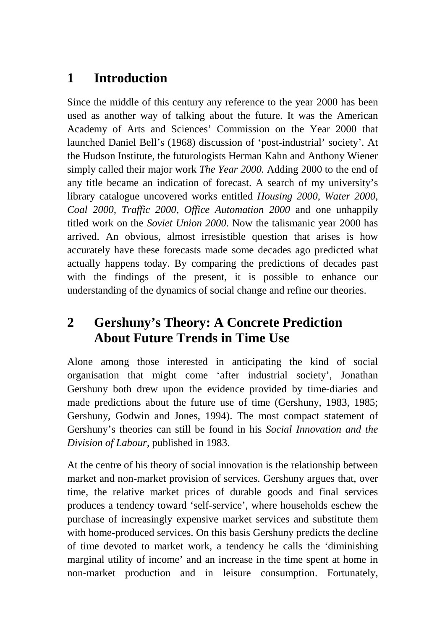## **1 Introduction**

Since the middle of this century any reference to the year 2000 has been used as another way of talking about the future. It was the American Academy of Arts and Sciences' Commission on the Year 2000 that launched Daniel Bell's (1968) discussion of 'post-industrial' society'. At the Hudson Institute, the futurologists Herman Kahn and Anthony Wiener simply called their major work *The Year 2000.* Adding 2000 to the end of any title became an indication of forecast. A search of my university's library catalogue uncovered works entitled *Housing 2000*, *Water 2000*, *Coal 2000, Traffic 2000*, *Office Automation 2000* and one unhappily titled work on the *Soviet Union 2000*. Now the talismanic year 2000 has arrived. An obvious, almost irresistible question that arises is how accurately have these forecasts made some decades ago predicted what actually happens today. By comparing the predictions of decades past with the findings of the present, it is possible to enhance our understanding of the dynamics of social change and refine our theories.

## **2 Gershuny's Theory: A Concrete Prediction About Future Trends in Time Use**

Alone among those interested in anticipating the kind of social organisation that might come 'after industrial society', Jonathan Gershuny both drew upon the evidence provided by time-diaries and made predictions about the future use of time (Gershuny, 1983, 1985; Gershuny, Godwin and Jones, 1994). The most compact statement of Gershuny's theories can still be found in his *Social Innovation and the Division of Labour,* published in 1983.

At the centre of his theory of social innovation is the relationship between market and non-market provision of services. Gershuny argues that, over time, the relative market prices of durable goods and final services produces a tendency toward 'self-service', where households eschew the purchase of increasingly expensive market services and substitute them with home-produced services. On this basis Gershuny predicts the decline of time devoted to market work, a tendency he calls the 'diminishing marginal utility of income' and an increase in the time spent at home in non-market production and in leisure consumption. Fortunately,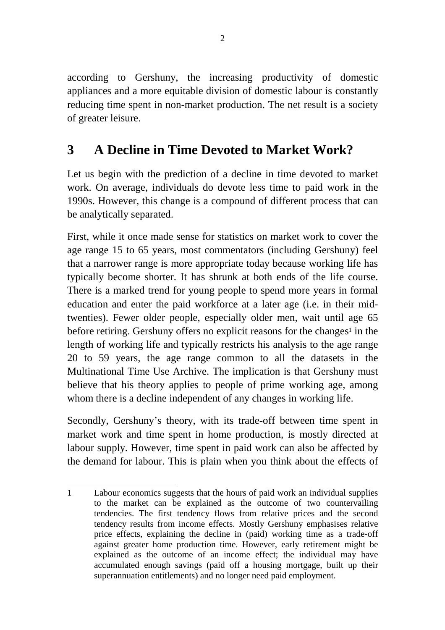according to Gershuny, the increasing productivity of domestic appliances and a more equitable division of domestic labour is constantly reducing time spent in non-market production. The net result is a society of greater leisure.

## **3 A Decline in Time Devoted to Market Work?**

Let us begin with the prediction of a decline in time devoted to market work. On average, individuals do devote less time to paid work in the 1990s. However, this change is a compound of different process that can be analytically separated.

First, while it once made sense for statistics on market work to cover the age range 15 to 65 years, most commentators (including Gershuny) feel that a narrower range is more appropriate today because working life has typically become shorter. It has shrunk at both ends of the life course. There is a marked trend for young people to spend more years in formal education and enter the paid workforce at a later age (i.e. in their midtwenties). Fewer older people, especially older men, wait until age 65 before retiring. Gershuny offers no explicit reasons for the changes<sup>1</sup> in the length of working life and typically restricts his analysis to the age range 20 to 59 years, the age range common to all the datasets in the Multinational Time Use Archive. The implication is that Gershuny must believe that his theory applies to people of prime working age, among whom there is a decline independent of any changes in working life.

Secondly, Gershuny's theory, with its trade-off between time spent in market work and time spent in home production, is mostly directed at labour supply. However, time spent in paid work can also be affected by the demand for labour. This is plain when you think about the effects of

<sup>1</sup> Labour economics suggests that the hours of paid work an individual supplies to the market can be explained as the outcome of two countervailing tendencies. The first tendency flows from relative prices and the second tendency results from income effects. Mostly Gershuny emphasises relative price effects, explaining the decline in (paid) working time as a trade-off against greater home production time. However, early retirement might be explained as the outcome of an income effect; the individual may have accumulated enough savings (paid off a housing mortgage, built up their superannuation entitlements) and no longer need paid employment.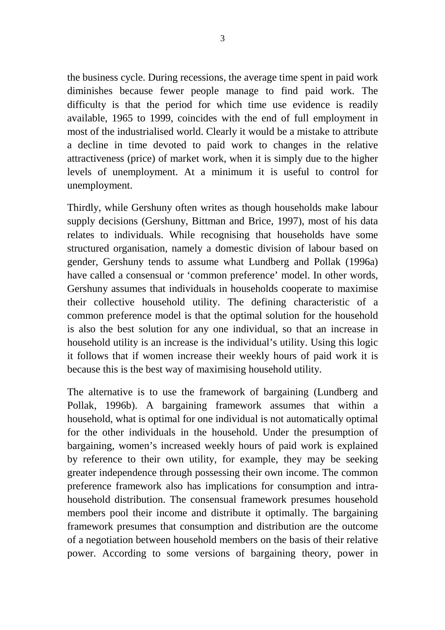the business cycle. During recessions, the average time spent in paid work diminishes because fewer people manage to find paid work. The difficulty is that the period for which time use evidence is readily available, 1965 to 1999, coincides with the end of full employment in most of the industrialised world. Clearly it would be a mistake to attribute a decline in time devoted to paid work to changes in the relative attractiveness (price) of market work, when it is simply due to the higher levels of unemployment. At a minimum it is useful to control for unemployment.

Thirdly, while Gershuny often writes as though households make labour supply decisions (Gershuny, Bittman and Brice, 1997), most of his data relates to individuals. While recognising that households have some structured organisation, namely a domestic division of labour based on gender, Gershuny tends to assume what Lundberg and Pollak (1996a) have called a consensual or 'common preference' model. In other words, Gershuny assumes that individuals in households cooperate to maximise their collective household utility. The defining characteristic of a common preference model is that the optimal solution for the household is also the best solution for any one individual, so that an increase in household utility is an increase is the individual's utility. Using this logic it follows that if women increase their weekly hours of paid work it is because this is the best way of maximising household utility.

The alternative is to use the framework of bargaining (Lundberg and Pollak, 1996b). A bargaining framework assumes that within a household, what is optimal for one individual is not automatically optimal for the other individuals in the household. Under the presumption of bargaining, women's increased weekly hours of paid work is explained by reference to their own utility, for example, they may be seeking greater independence through possessing their own income. The common preference framework also has implications for consumption and intrahousehold distribution. The consensual framework presumes household members pool their income and distribute it optimally. The bargaining framework presumes that consumption and distribution are the outcome of a negotiation between household members on the basis of their relative power. According to some versions of bargaining theory, power in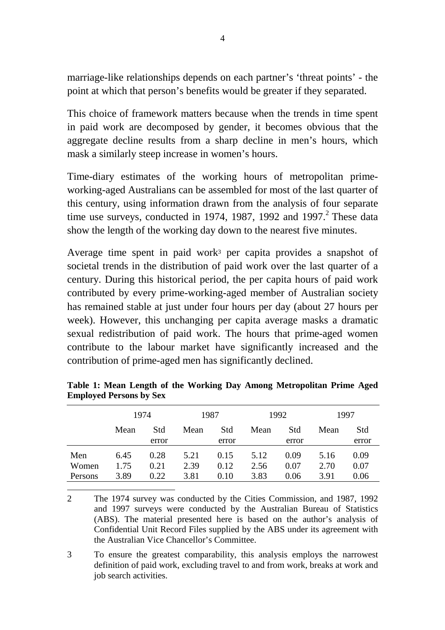marriage-like relationships depends on each partner's 'threat points' - the point at which that person's benefits would be greater if they separated.

This choice of framework matters because when the trends in time spent in paid work are decomposed by gender, it becomes obvious that the aggregate decline results from a sharp decline in men's hours, which mask a similarly steep increase in women's hours.

Time-diary estimates of the working hours of metropolitan primeworking-aged Australians can be assembled for most of the last quarter of this century, using information drawn from the analysis of four separate time use surveys, conducted in 1974, 1987, 1992 and 1997. $^2$  These data show the length of the working day down to the nearest five minutes.

Average time spent in paid work3 per capita provides a snapshot of societal trends in the distribution of paid work over the last quarter of a century. During this historical period, the per capita hours of paid work contributed by every prime-working-aged member of Australian society has remained stable at just under four hours per day (about 27 hours per week). However, this unchanging per capita average masks a dramatic sexual redistribution of paid work. The hours that prime-aged women contribute to the labour market have significantly increased and the contribution of prime-aged men has significantly declined.

|         |      | 1974  |      | 1987  |      | 1992  | 1997 |       |
|---------|------|-------|------|-------|------|-------|------|-------|
|         | Mean | Std   | Mean | Std   | Mean | Std   | Mean | Std   |
|         |      | error |      | error |      | error |      | error |
| Men     | 6.45 | 0.28  | 5.21 | 0.15  | 5.12 | 0.09  | 5.16 | 0.09  |
| Women   | 1.75 | 0.21  | 2.39 | 0.12  | 2.56 | 0.07  | 2.70 | 0.07  |
| Persons | 3.89 | 0.22  | 3.81 | 0.10  | 3.83 | 0.06  | 3.91 | 0.06  |

**Table 1: Mean Length of the Working Day Among Metropolitan Prime Aged Employed Persons by Sex**

2 The 1974 survey was conducted by the Cities Commission, and 1987, 1992 and 1997 surveys were conducted by the Australian Bureau of Statistics (ABS). The material presented here is based on the author's analysis of Confidential Unit Record Files supplied by the ABS under its agreement with the Australian Vice Chancellor's Committee.

3 To ensure the greatest comparability, this analysis employs the narrowest definition of paid work, excluding travel to and from work, breaks at work and job search activities.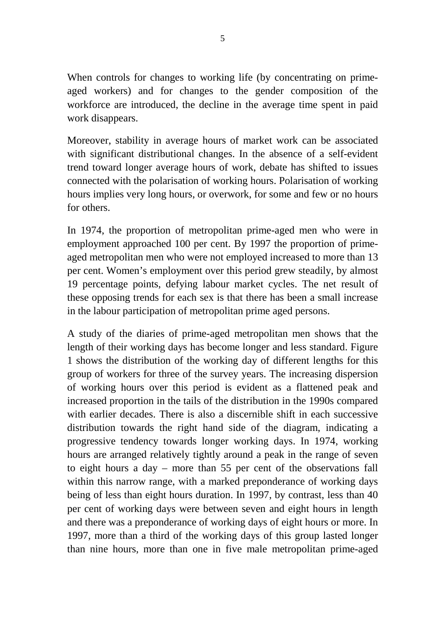When controls for changes to working life (by concentrating on primeaged workers) and for changes to the gender composition of the workforce are introduced, the decline in the average time spent in paid work disappears.

Moreover, stability in average hours of market work can be associated with significant distributional changes. In the absence of a self-evident trend toward longer average hours of work, debate has shifted to issues connected with the polarisation of working hours. Polarisation of working hours implies very long hours, or overwork, for some and few or no hours for others.

In 1974, the proportion of metropolitan prime-aged men who were in employment approached 100 per cent. By 1997 the proportion of primeaged metropolitan men who were not employed increased to more than 13 per cent. Women's employment over this period grew steadily, by almost 19 percentage points, defying labour market cycles. The net result of these opposing trends for each sex is that there has been a small increase in the labour participation of metropolitan prime aged persons.

A study of the diaries of prime-aged metropolitan men shows that the length of their working days has become longer and less standard. Figure 1 shows the distribution of the working day of different lengths for this group of workers for three of the survey years. The increasing dispersion of working hours over this period is evident as a flattened peak and increased proportion in the tails of the distribution in the 1990s compared with earlier decades. There is also a discernible shift in each successive distribution towards the right hand side of the diagram, indicating a progressive tendency towards longer working days. In 1974, working hours are arranged relatively tightly around a peak in the range of seven to eight hours a day – more than 55 per cent of the observations fall within this narrow range, with a marked preponderance of working days being of less than eight hours duration. In 1997, by contrast, less than 40 per cent of working days were between seven and eight hours in length and there was a preponderance of working days of eight hours or more. In 1997, more than a third of the working days of this group lasted longer than nine hours, more than one in five male metropolitan prime-aged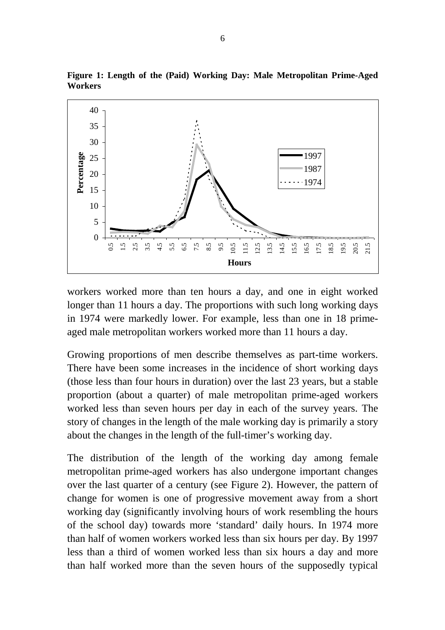

**Figure 1: Length of the (Paid) Working Day: Male Metropolitan Prime-Aged Workers**

workers worked more than ten hours a day, and one in eight worked longer than 11 hours a day. The proportions with such long working days in 1974 were markedly lower. For example, less than one in 18 primeaged male metropolitan workers worked more than 11 hours a day.

Growing proportions of men describe themselves as part-time workers. There have been some increases in the incidence of short working days (those less than four hours in duration) over the last 23 years, but a stable proportion (about a quarter) of male metropolitan prime-aged workers worked less than seven hours per day in each of the survey years. The story of changes in the length of the male working day is primarily a story about the changes in the length of the full-timer's working day.

The distribution of the length of the working day among female metropolitan prime-aged workers has also undergone important changes over the last quarter of a century (see Figure 2). However, the pattern of change for women is one of progressive movement away from a short working day (significantly involving hours of work resembling the hours of the school day) towards more 'standard' daily hours. In 1974 more than half of women workers worked less than six hours per day. By 1997 less than a third of women worked less than six hours a day and more than half worked more than the seven hours of the supposedly typical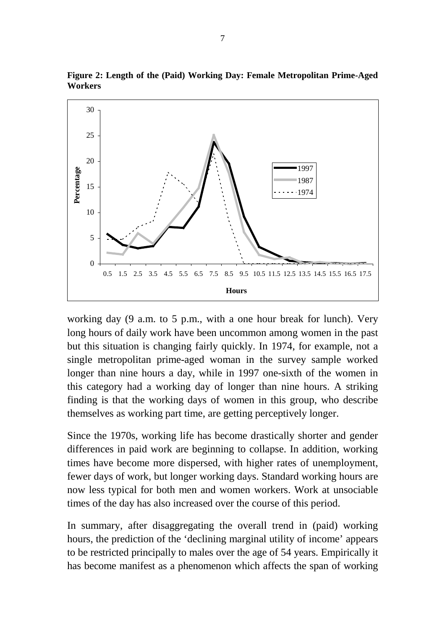

**Figure 2: Length of the (Paid) Working Day: Female Metropolitan Prime-Aged Workers**

working day (9 a.m. to 5 p.m., with a one hour break for lunch). Very long hours of daily work have been uncommon among women in the past but this situation is changing fairly quickly. In 1974, for example, not a single metropolitan prime-aged woman in the survey sample worked longer than nine hours a day, while in 1997 one-sixth of the women in this category had a working day of longer than nine hours. A striking finding is that the working days of women in this group, who describe themselves as working part time, are getting perceptively longer.

Since the 1970s, working life has become drastically shorter and gender differences in paid work are beginning to collapse. In addition, working times have become more dispersed, with higher rates of unemployment, fewer days of work, but longer working days. Standard working hours are now less typical for both men and women workers. Work at unsociable times of the day has also increased over the course of this period.

In summary, after disaggregating the overall trend in (paid) working hours, the prediction of the 'declining marginal utility of income' appears to be restricted principally to males over the age of 54 years. Empirically it has become manifest as a phenomenon which affects the span of working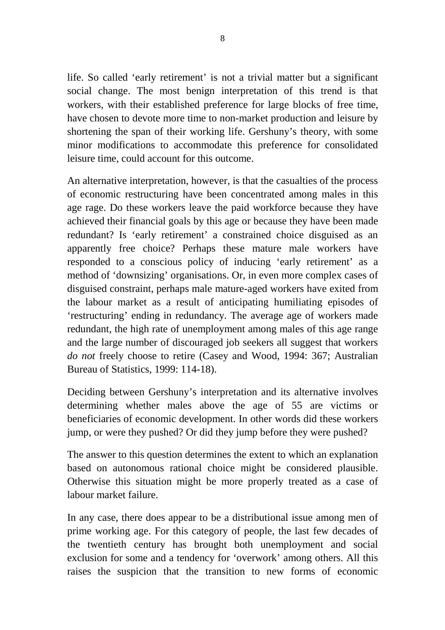life. So called 'early retirement' is not a trivial matter but a significant social change. The most benign interpretation of this trend is that workers, with their established preference for large blocks of free time, have chosen to devote more time to non-market production and leisure by shortening the span of their working life. Gershuny's theory, with some minor modifications to accommodate this preference for consolidated leisure time, could account for this outcome.

An alternative interpretation, however, is that the casualties of the process of economic restructuring have been concentrated among males in this age rage. Do these workers leave the paid workforce because they have achieved their financial goals by this age or because they have been made redundant? Is 'early retirement' a constrained choice disguised as an apparently free choice? Perhaps these mature male workers have responded to a conscious policy of inducing 'early retirement' as a method of 'downsizing' organisations. Or, in even more complex cases of disguised constraint, perhaps male mature-aged workers have exited from the labour market as a result of anticipating humiliating episodes of 'restructuring' ending in redundancy. The average age of workers made redundant, the high rate of unemployment among males of this age range and the large number of discouraged job seekers all suggest that workers *do not* freely choose to retire (Casey and Wood, 1994: 367; Australian Bureau of Statistics, 1999: 114-18).

Deciding between Gershuny's interpretation and its alternative involves determining whether males above the age of 55 are victims or beneficiaries of economic development. In other words did these workers jump, or were they pushed? Or did they jump before they were pushed?

The answer to this question determines the extent to which an explanation based on autonomous rational choice might be considered plausible. Otherwise this situation might be more properly treated as a case of labour market failure.

In any case, there does appear to be a distributional issue among men of prime working age. For this category of people, the last few decades of the twentieth century has brought both unemployment and social exclusion for some and a tendency for 'overwork' among others. All this raises the suspicion that the transition to new forms of economic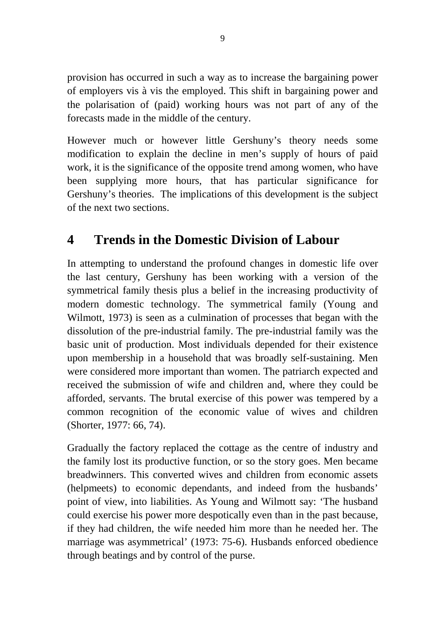provision has occurred in such a way as to increase the bargaining power of employers vis à vis the employed. This shift in bargaining power and the polarisation of (paid) working hours was not part of any of the forecasts made in the middle of the century.

However much or however little Gershuny's theory needs some modification to explain the decline in men's supply of hours of paid work, it is the significance of the opposite trend among women, who have been supplying more hours, that has particular significance for Gershuny's theories. The implications of this development is the subject of the next two sections.

## **4 Trends in the Domestic Division of Labour**

In attempting to understand the profound changes in domestic life over the last century, Gershuny has been working with a version of the symmetrical family thesis plus a belief in the increasing productivity of modern domestic technology. The symmetrical family (Young and Wilmott, 1973) is seen as a culmination of processes that began with the dissolution of the pre-industrial family. The pre-industrial family was the basic unit of production. Most individuals depended for their existence upon membership in a household that was broadly self-sustaining. Men were considered more important than women. The patriarch expected and received the submission of wife and children and, where they could be afforded, servants. The brutal exercise of this power was tempered by a common recognition of the economic value of wives and children (Shorter, 1977: 66, 74).

Gradually the factory replaced the cottage as the centre of industry and the family lost its productive function, or so the story goes. Men became breadwinners. This converted wives and children from economic assets (helpmeets) to economic dependants, and indeed from the husbands' point of view, into liabilities. As Young and Wilmott say: 'The husband could exercise his power more despotically even than in the past because, if they had children, the wife needed him more than he needed her. The marriage was asymmetrical' (1973: 75-6). Husbands enforced obedience through beatings and by control of the purse.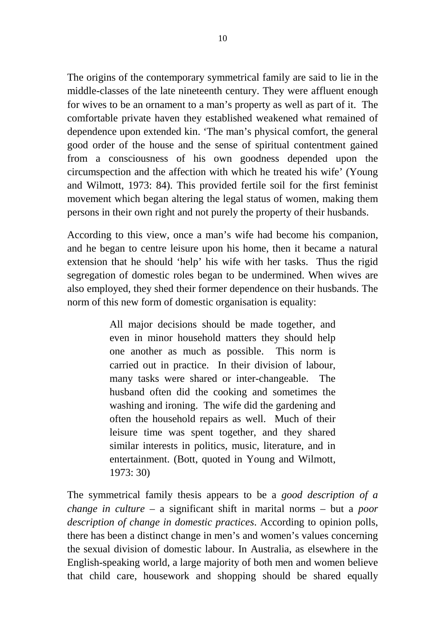The origins of the contemporary symmetrical family are said to lie in the middle-classes of the late nineteenth century. They were affluent enough for wives to be an ornament to a man's property as well as part of it. The comfortable private haven they established weakened what remained of dependence upon extended kin. 'The man's physical comfort, the general good order of the house and the sense of spiritual contentment gained from a consciousness of his own goodness depended upon the circumspection and the affection with which he treated his wife' (Young and Wilmott, 1973: 84). This provided fertile soil for the first feminist movement which began altering the legal status of women, making them persons in their own right and not purely the property of their husbands.

According to this view, once a man's wife had become his companion, and he began to centre leisure upon his home, then it became a natural extension that he should 'help' his wife with her tasks. Thus the rigid segregation of domestic roles began to be undermined. When wives are also employed, they shed their former dependence on their husbands. The norm of this new form of domestic organisation is equality:

> All major decisions should be made together, and even in minor household matters they should help one another as much as possible. This norm is carried out in practice. In their division of labour, many tasks were shared or inter-changeable. The husband often did the cooking and sometimes the washing and ironing. The wife did the gardening and often the household repairs as well. Much of their leisure time was spent together, and they shared similar interests in politics, music, literature, and in entertainment. (Bott, quoted in Young and Wilmott, 1973: 30)

The symmetrical family thesis appears to be a *good description of a change in culture* – a significant shift in marital norms – but a *poor description of change in domestic practices*. According to opinion polls, there has been a distinct change in men's and women's values concerning the sexual division of domestic labour. In Australia, as elsewhere in the English-speaking world, a large majority of both men and women believe that child care, housework and shopping should be shared equally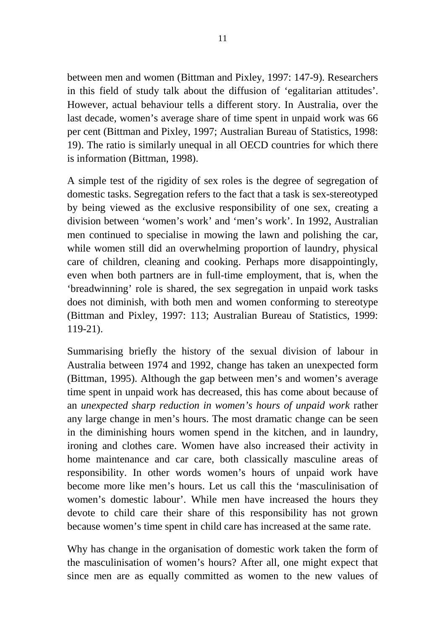between men and women (Bittman and Pixley, 1997: 147-9). Researchers in this field of study talk about the diffusion of 'egalitarian attitudes'. However, actual behaviour tells a different story. In Australia, over the last decade, women's average share of time spent in unpaid work was 66 per cent (Bittman and Pixley, 1997; Australian Bureau of Statistics, 1998: 19). The ratio is similarly unequal in all OECD countries for which there is information (Bittman, 1998).

A simple test of the rigidity of sex roles is the degree of segregation of domestic tasks. Segregation refers to the fact that a task is sex-stereotyped by being viewed as the exclusive responsibility of one sex, creating a division between 'women's work' and 'men's work'. In 1992, Australian men continued to specialise in mowing the lawn and polishing the car, while women still did an overwhelming proportion of laundry, physical care of children, cleaning and cooking. Perhaps more disappointingly, even when both partners are in full-time employment, that is, when the 'breadwinning' role is shared, the sex segregation in unpaid work tasks does not diminish, with both men and women conforming to stereotype (Bittman and Pixley, 1997: 113; Australian Bureau of Statistics, 1999: 119-21).

Summarising briefly the history of the sexual division of labour in Australia between 1974 and 1992, change has taken an unexpected form (Bittman, 1995). Although the gap between men's and women's average time spent in unpaid work has decreased, this has come about because of an *unexpected sharp reduction in women's hours of unpaid work* rather any large change in men's hours. The most dramatic change can be seen in the diminishing hours women spend in the kitchen, and in laundry, ironing and clothes care. Women have also increased their activity in home maintenance and car care, both classically masculine areas of responsibility. In other words women's hours of unpaid work have become more like men's hours. Let us call this the 'masculinisation of women's domestic labour'. While men have increased the hours they devote to child care their share of this responsibility has not grown because women's time spent in child care has increased at the same rate.

Why has change in the organisation of domestic work taken the form of the masculinisation of women's hours? After all, one might expect that since men are as equally committed as women to the new values of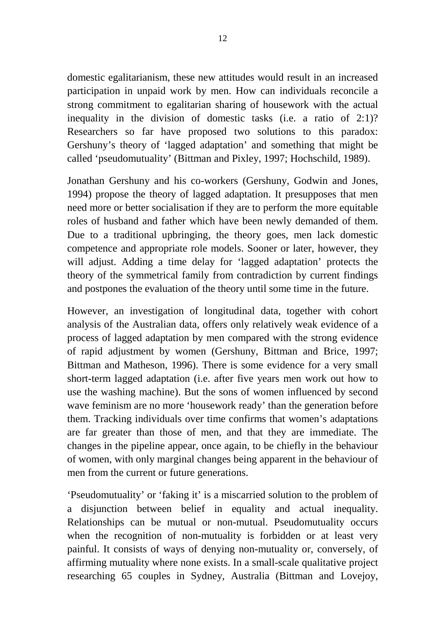domestic egalitarianism, these new attitudes would result in an increased participation in unpaid work by men. How can individuals reconcile a strong commitment to egalitarian sharing of housework with the actual inequality in the division of domestic tasks (i.e. a ratio of 2:1)? Researchers so far have proposed two solutions to this paradox: Gershuny's theory of 'lagged adaptation' and something that might be called 'pseudomutuality' (Bittman and Pixley, 1997; Hochschild, 1989).

Jonathan Gershuny and his co-workers (Gershuny, Godwin and Jones, 1994) propose the theory of lagged adaptation. It presupposes that men need more or better socialisation if they are to perform the more equitable roles of husband and father which have been newly demanded of them. Due to a traditional upbringing, the theory goes, men lack domestic competence and appropriate role models. Sooner or later, however, they will adjust. Adding a time delay for 'lagged adaptation' protects the theory of the symmetrical family from contradiction by current findings and postpones the evaluation of the theory until some time in the future.

However, an investigation of longitudinal data, together with cohort analysis of the Australian data, offers only relatively weak evidence of a process of lagged adaptation by men compared with the strong evidence of rapid adjustment by women (Gershuny, Bittman and Brice, 1997; Bittman and Matheson, 1996). There is some evidence for a very small short-term lagged adaptation (i.e. after five years men work out how to use the washing machine). But the sons of women influenced by second wave feminism are no more 'housework ready' than the generation before them. Tracking individuals over time confirms that women's adaptations are far greater than those of men, and that they are immediate. The changes in the pipeline appear, once again, to be chiefly in the behaviour of women, with only marginal changes being apparent in the behaviour of men from the current or future generations.

'Pseudomutuality' or 'faking it' is a miscarried solution to the problem of a disjunction between belief in equality and actual inequality. Relationships can be mutual or non-mutual. Pseudomutuality occurs when the recognition of non-mutuality is forbidden or at least very painful. It consists of ways of denying non-mutuality or, conversely, of affirming mutuality where none exists. In a small-scale qualitative project researching 65 couples in Sydney, Australia (Bittman and Lovejoy,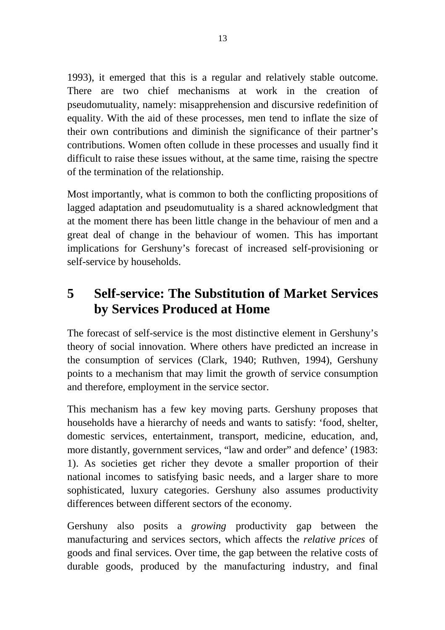1993), it emerged that this is a regular and relatively stable outcome. There are two chief mechanisms at work in the creation of pseudomutuality, namely: misapprehension and discursive redefinition of equality. With the aid of these processes, men tend to inflate the size of their own contributions and diminish the significance of their partner's contributions. Women often collude in these processes and usually find it difficult to raise these issues without, at the same time, raising the spectre of the termination of the relationship.

Most importantly, what is common to both the conflicting propositions of lagged adaptation and pseudomutuality is a shared acknowledgment that at the moment there has been little change in the behaviour of men and a great deal of change in the behaviour of women. This has important implications for Gershuny's forecast of increased self-provisioning or self-service by households.

## **5 Self-service: The Substitution of Market Services by Services Produced at Home**

The forecast of self-service is the most distinctive element in Gershuny's theory of social innovation. Where others have predicted an increase in the consumption of services (Clark, 1940; Ruthven, 1994), Gershuny points to a mechanism that may limit the growth of service consumption and therefore, employment in the service sector.

This mechanism has a few key moving parts. Gershuny proposes that households have a hierarchy of needs and wants to satisfy: 'food, shelter, domestic services, entertainment, transport, medicine, education, and, more distantly, government services, "law and order" and defence' (1983: 1). As societies get richer they devote a smaller proportion of their national incomes to satisfying basic needs, and a larger share to more sophisticated, luxury categories. Gershuny also assumes productivity differences between different sectors of the economy.

Gershuny also posits a *growing* productivity gap between the manufacturing and services sectors, which affects the *relative prices* of goods and final services. Over time, the gap between the relative costs of durable goods, produced by the manufacturing industry, and final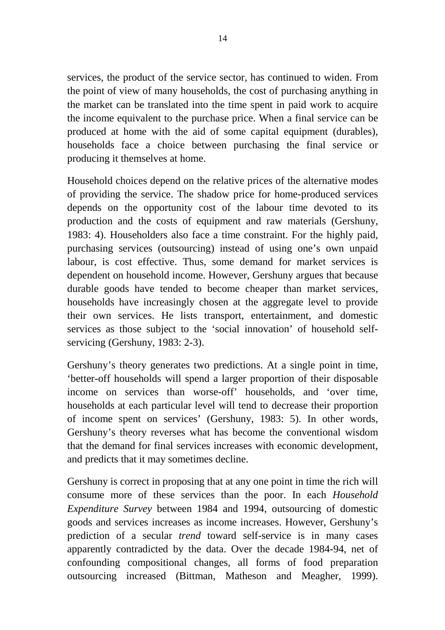services, the product of the service sector, has continued to widen. From the point of view of many households, the cost of purchasing anything in the market can be translated into the time spent in paid work to acquire the income equivalent to the purchase price. When a final service can be produced at home with the aid of some capital equipment (durables), households face a choice between purchasing the final service or producing it themselves at home.

Household choices depend on the relative prices of the alternative modes of providing the service. The shadow price for home-produced services depends on the opportunity cost of the labour time devoted to its production and the costs of equipment and raw materials (Gershuny, 1983: 4). Householders also face a time constraint. For the highly paid, purchasing services (outsourcing) instead of using one's own unpaid labour, is cost effective. Thus, some demand for market services is dependent on household income. However, Gershuny argues that because durable goods have tended to become cheaper than market services, households have increasingly chosen at the aggregate level to provide their own services. He lists transport, entertainment, and domestic services as those subject to the 'social innovation' of household selfservicing (Gershuny, 1983: 2-3).

Gershuny's theory generates two predictions. At a single point in time, 'better-off households will spend a larger proportion of their disposable income on services than worse-off' households, and 'over time, households at each particular level will tend to decrease their proportion of income spent on services' (Gershuny, 1983: 5). In other words, Gershuny's theory reverses what has become the conventional wisdom that the demand for final services increases with economic development, and predicts that it may sometimes decline.

Gershuny is correct in proposing that at any one point in time the rich will consume more of these services than the poor. In each *Household Expenditure Survey* between 1984 and 1994, outsourcing of domestic goods and services increases as income increases. However, Gershuny's prediction of a secular *trend* toward self-service is in many cases apparently contradicted by the data. Over the decade 1984-94, net of confounding compositional changes, all forms of food preparation outsourcing increased (Bittman, Matheson and Meagher, 1999).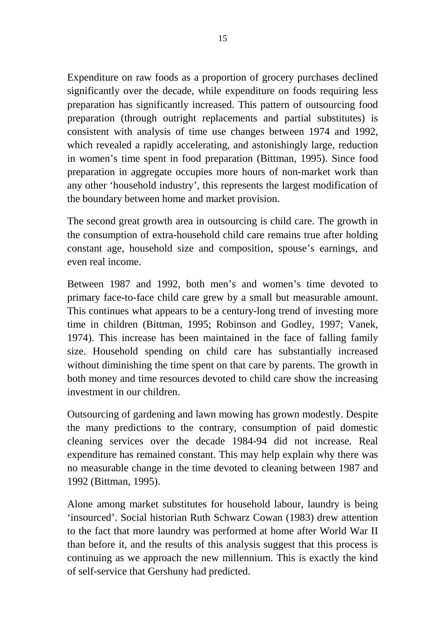Expenditure on raw foods as a proportion of grocery purchases declined significantly over the decade, while expenditure on foods requiring less preparation has significantly increased. This pattern of outsourcing food preparation (through outright replacements and partial substitutes) is consistent with analysis of time use changes between 1974 and 1992, which revealed a rapidly accelerating, and astonishingly large, reduction in women's time spent in food preparation (Bittman, 1995). Since food preparation in aggregate occupies more hours of non-market work than any other 'household industry', this represents the largest modification of the boundary between home and market provision.

The second great growth area in outsourcing is child care. The growth in the consumption of extra-household child care remains true after holding constant age, household size and composition, spouse's earnings, and even real income.

Between 1987 and 1992, both men's and women's time devoted to primary face-to-face child care grew by a small but measurable amount. This continues what appears to be a century-long trend of investing more time in children (Bittman, 1995; Robinson and Godley, 1997; Vanek, 1974). This increase has been maintained in the face of falling family size. Household spending on child care has substantially increased without diminishing the time spent on that care by parents. The growth in both money and time resources devoted to child care show the increasing investment in our children.

Outsourcing of gardening and lawn mowing has grown modestly. Despite the many predictions to the contrary, consumption of paid domestic cleaning services over the decade 1984-94 did not increase. Real expenditure has remained constant. This may help explain why there was no measurable change in the time devoted to cleaning between 1987 and 1992 (Bittman, 1995).

Alone among market substitutes for household labour, laundry is being 'insourced'. Social historian Ruth Schwarz Cowan (1983) drew attention to the fact that more laundry was performed at home after World War II than before it, and the results of this analysis suggest that this process is continuing as we approach the new millennium. This is exactly the kind of self-service that Gershuny had predicted.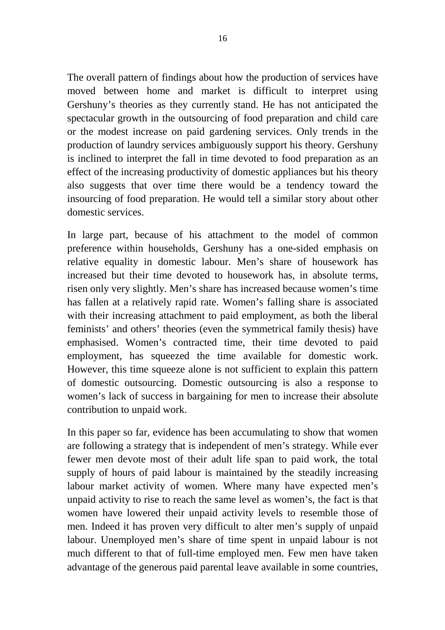The overall pattern of findings about how the production of services have moved between home and market is difficult to interpret using Gershuny's theories as they currently stand. He has not anticipated the spectacular growth in the outsourcing of food preparation and child care or the modest increase on paid gardening services. Only trends in the production of laundry services ambiguously support his theory. Gershuny is inclined to interpret the fall in time devoted to food preparation as an effect of the increasing productivity of domestic appliances but his theory also suggests that over time there would be a tendency toward the insourcing of food preparation. He would tell a similar story about other domestic services.

In large part, because of his attachment to the model of common preference within households, Gershuny has a one-sided emphasis on relative equality in domestic labour. Men's share of housework has increased but their time devoted to housework has, in absolute terms, risen only very slightly. Men's share has increased because women's time has fallen at a relatively rapid rate. Women's falling share is associated with their increasing attachment to paid employment, as both the liberal feminists' and others' theories (even the symmetrical family thesis) have emphasised. Women's contracted time, their time devoted to paid employment, has squeezed the time available for domestic work. However, this time squeeze alone is not sufficient to explain this pattern of domestic outsourcing. Domestic outsourcing is also a response to women's lack of success in bargaining for men to increase their absolute contribution to unpaid work.

In this paper so far, evidence has been accumulating to show that women are following a strategy that is independent of men's strategy. While ever fewer men devote most of their adult life span to paid work, the total supply of hours of paid labour is maintained by the steadily increasing labour market activity of women. Where many have expected men's unpaid activity to rise to reach the same level as women's, the fact is that women have lowered their unpaid activity levels to resemble those of men. Indeed it has proven very difficult to alter men's supply of unpaid labour. Unemployed men's share of time spent in unpaid labour is not much different to that of full-time employed men. Few men have taken advantage of the generous paid parental leave available in some countries,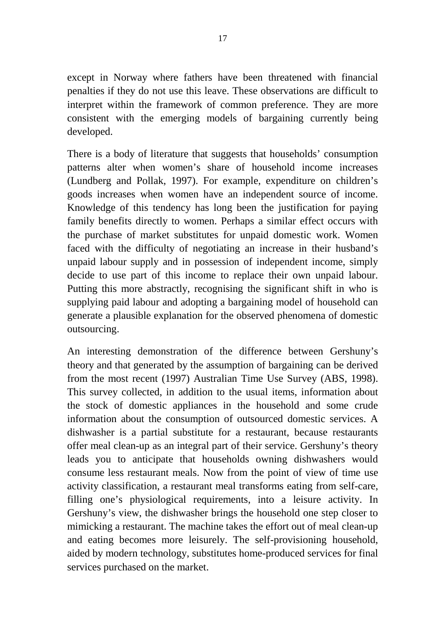except in Norway where fathers have been threatened with financial penalties if they do not use this leave. These observations are difficult to interpret within the framework of common preference. They are more consistent with the emerging models of bargaining currently being developed.

There is a body of literature that suggests that households' consumption patterns alter when women's share of household income increases (Lundberg and Pollak, 1997). For example, expenditure on children's goods increases when women have an independent source of income. Knowledge of this tendency has long been the justification for paying family benefits directly to women. Perhaps a similar effect occurs with the purchase of market substitutes for unpaid domestic work. Women faced with the difficulty of negotiating an increase in their husband's unpaid labour supply and in possession of independent income, simply decide to use part of this income to replace their own unpaid labour. Putting this more abstractly, recognising the significant shift in who is supplying paid labour and adopting a bargaining model of household can generate a plausible explanation for the observed phenomena of domestic outsourcing.

An interesting demonstration of the difference between Gershuny's theory and that generated by the assumption of bargaining can be derived from the most recent (1997) Australian Time Use Survey (ABS, 1998). This survey collected, in addition to the usual items, information about the stock of domestic appliances in the household and some crude information about the consumption of outsourced domestic services. A dishwasher is a partial substitute for a restaurant, because restaurants offer meal clean-up as an integral part of their service. Gershuny's theory leads you to anticipate that households owning dishwashers would consume less restaurant meals. Now from the point of view of time use activity classification, a restaurant meal transforms eating from self-care, filling one's physiological requirements, into a leisure activity. In Gershuny's view, the dishwasher brings the household one step closer to mimicking a restaurant. The machine takes the effort out of meal clean-up and eating becomes more leisurely. The self-provisioning household, aided by modern technology, substitutes home-produced services for final services purchased on the market.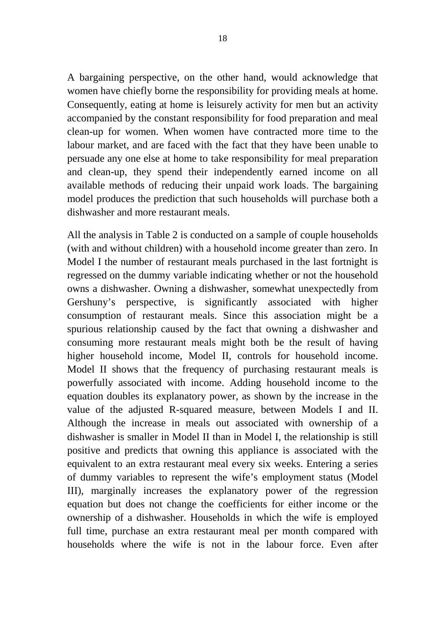A bargaining perspective, on the other hand, would acknowledge that women have chiefly borne the responsibility for providing meals at home. Consequently, eating at home is leisurely activity for men but an activity accompanied by the constant responsibility for food preparation and meal clean-up for women. When women have contracted more time to the labour market, and are faced with the fact that they have been unable to persuade any one else at home to take responsibility for meal preparation and clean-up, they spend their independently earned income on all available methods of reducing their unpaid work loads. The bargaining model produces the prediction that such households will purchase both a dishwasher and more restaurant meals.

All the analysis in Table 2 is conducted on a sample of couple households (with and without children) with a household income greater than zero. In Model I the number of restaurant meals purchased in the last fortnight is regressed on the dummy variable indicating whether or not the household owns a dishwasher. Owning a dishwasher, somewhat unexpectedly from Gershuny's perspective, is significantly associated with higher consumption of restaurant meals. Since this association might be a spurious relationship caused by the fact that owning a dishwasher and consuming more restaurant meals might both be the result of having higher household income, Model II, controls for household income. Model II shows that the frequency of purchasing restaurant meals is powerfully associated with income. Adding household income to the equation doubles its explanatory power, as shown by the increase in the value of the adjusted R-squared measure, between Models I and II. Although the increase in meals out associated with ownership of a dishwasher is smaller in Model II than in Model I, the relationship is still positive and predicts that owning this appliance is associated with the equivalent to an extra restaurant meal every six weeks. Entering a series of dummy variables to represent the wife's employment status (Model III), marginally increases the explanatory power of the regression equation but does not change the coefficients for either income or the ownership of a dishwasher. Households in which the wife is employed full time, purchase an extra restaurant meal per month compared with households where the wife is not in the labour force. Even after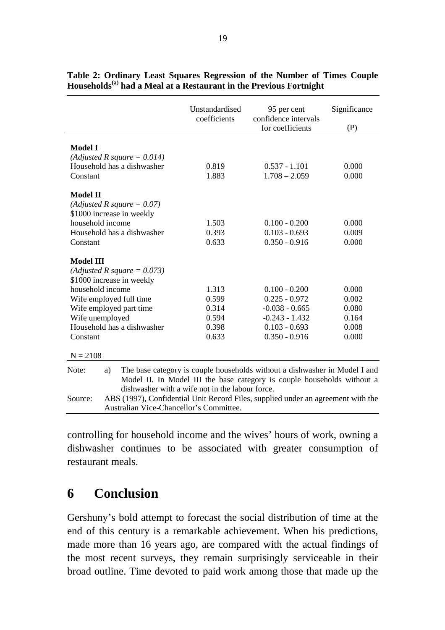|                                                                                 | Unstandardised<br>coefficients                  | 95 per cent<br>confidence intervals                                                                                                                   | Significance |
|---------------------------------------------------------------------------------|-------------------------------------------------|-------------------------------------------------------------------------------------------------------------------------------------------------------|--------------|
|                                                                                 |                                                 | for coefficients                                                                                                                                      | (P)          |
| <b>Model I</b><br>(Adjusted R square $= 0.014$ )                                |                                                 |                                                                                                                                                       |              |
| Household has a dishwasher                                                      | 0.819                                           | $0.537 - 1.101$                                                                                                                                       | 0.000        |
| Constant                                                                        | 1.883                                           | $1.708 - 2.059$                                                                                                                                       | 0.000        |
| <b>Model II</b>                                                                 |                                                 |                                                                                                                                                       |              |
| (Adjusted R square $= 0.07$ )<br>\$1000 increase in weekly                      |                                                 |                                                                                                                                                       |              |
| household income                                                                | 1.503                                           | $0.100 - 0.200$                                                                                                                                       | 0.000        |
| Household has a dishwasher                                                      | 0.393                                           | $0.103 - 0.693$                                                                                                                                       | 0.009        |
| Constant                                                                        | 0.633                                           | $0.350 - 0.916$                                                                                                                                       | 0.000        |
| <b>Model III</b><br>(Adjusted R square $= 0.073$ )<br>\$1000 increase in weekly |                                                 |                                                                                                                                                       |              |
| household income                                                                | 1.313                                           | $0.100 - 0.200$                                                                                                                                       | 0.000        |
| Wife employed full time                                                         | 0.599                                           | $0.225 - 0.972$                                                                                                                                       | 0.002        |
| Wife employed part time                                                         | 0.314                                           | $-0.038 - 0.665$                                                                                                                                      | 0.080        |
| Wife unemployed                                                                 | 0.594                                           | $-0.243 - 1.432$                                                                                                                                      | 0.164        |
| Household has a dishwasher                                                      | 0.398                                           | $0.103 - 0.693$                                                                                                                                       | 0.008        |
| Constant                                                                        | 0.633                                           | $0.350 - 0.916$                                                                                                                                       | 0.000        |
| $N = 2108$                                                                      |                                                 |                                                                                                                                                       |              |
| Note:<br>a)                                                                     | dishwasher with a wife not in the labour force. | The base category is couple households without a dishwasher in Model I and<br>Model II. In Model III the base category is couple households without a |              |
| Source:<br>Australian Vice-Chancellor's Committee.                              |                                                 | ABS (1997), Confidential Unit Record Files, supplied under an agreement with the                                                                      |              |

| Table 2: Ordinary Least Squares Regression of the Number of Times Couple       |  |  |  |
|--------------------------------------------------------------------------------|--|--|--|
| Households <sup>(a)</sup> had a Meal at a Restaurant in the Previous Fortnight |  |  |  |

controlling for household income and the wives' hours of work, owning a dishwasher continues to be associated with greater consumption of restaurant meals.

## **6 Conclusion**

Gershuny's bold attempt to forecast the social distribution of time at the end of this century is a remarkable achievement. When his predictions, made more than 16 years ago, are compared with the actual findings of the most recent surveys, they remain surprisingly serviceable in their broad outline. Time devoted to paid work among those that made up the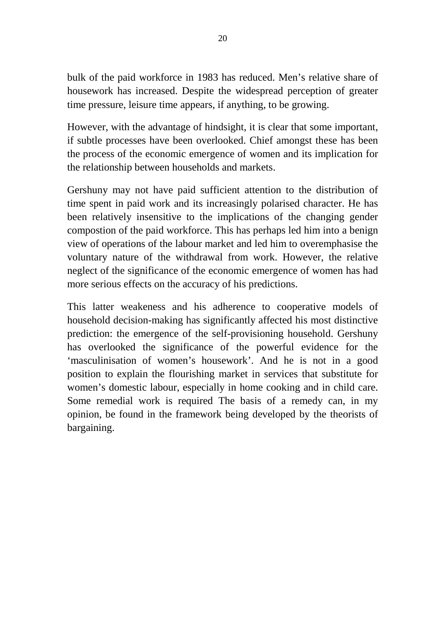bulk of the paid workforce in 1983 has reduced. Men's relative share of housework has increased. Despite the widespread perception of greater time pressure, leisure time appears, if anything, to be growing.

However, with the advantage of hindsight, it is clear that some important, if subtle processes have been overlooked. Chief amongst these has been the process of the economic emergence of women and its implication for the relationship between households and markets.

Gershuny may not have paid sufficient attention to the distribution of time spent in paid work and its increasingly polarised character. He has been relatively insensitive to the implications of the changing gender compostion of the paid workforce. This has perhaps led him into a benign view of operations of the labour market and led him to overemphasise the voluntary nature of the withdrawal from work. However, the relative neglect of the significance of the economic emergence of women has had more serious effects on the accuracy of his predictions.

This latter weakeness and his adherence to cooperative models of household decision-making has significantly affected his most distinctive prediction: the emergence of the self-provisioning household. Gershuny has overlooked the significance of the powerful evidence for the 'masculinisation of women's housework'. And he is not in a good position to explain the flourishing market in services that substitute for women's domestic labour, especially in home cooking and in child care. Some remedial work is required The basis of a remedy can, in my opinion, be found in the framework being developed by the theorists of bargaining.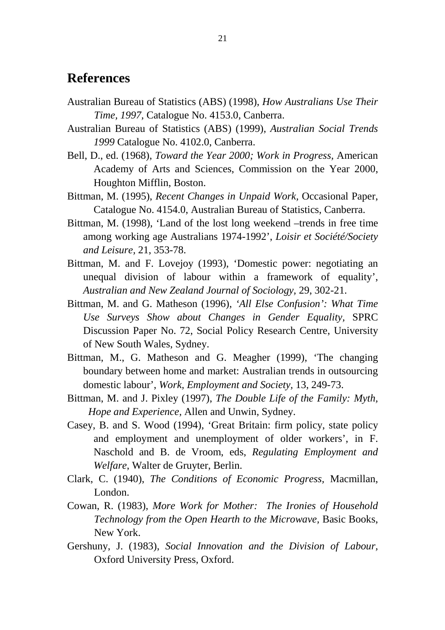#### **References**

- Australian Bureau of Statistics (ABS) (1998), *How Australians Use Their Time, 1997,* Catalogue No. 4153.0, Canberra.
- Australian Bureau of Statistics (ABS) (1999), *Australian Social Trends 1999* Catalogue No. 4102.0, Canberra.
- Bell, D., ed. (1968), *Toward the Year 2000; Work in Progress,* American Academy of Arts and Sciences, Commission on the Year 2000, Houghton Mifflin, Boston.
- Bittman, M. (1995), *Recent Changes in Unpaid Work,* Occasional Paper, Catalogue No. 4154.0, Australian Bureau of Statistics, Canberra.
- Bittman, M. (1998), 'Land of the lost long weekend –trends in free time among working age Australians 1974-1992', *Loisir et Société/Society and Leisure,* 21, 353-78.
- Bittman, M. and F. Lovejoy (1993), 'Domestic power: negotiating an unequal division of labour within a framework of equality', *Australian and New Zealand Journal of Sociology,* 29, 302-21.
- Bittman, M. and G. Matheson (1996), *'All Else Confusion': What Time Use Surveys Show about Changes in Gender Equality,* SPRC Discussion Paper No. 72, Social Policy Research Centre, University of New South Wales, Sydney.
- Bittman, M., G. Matheson and G. Meagher (1999), 'The changing boundary between home and market: Australian trends in outsourcing domestic labour', *Work, Employment and Society,* 13, 249-73.
- Bittman, M. and J. Pixley (1997), *The Double Life of the Family: Myth, Hope and Experience,* Allen and Unwin, Sydney.
- Casey, B. and S. Wood (1994), 'Great Britain: firm policy, state policy and employment and unemployment of older workers', in F. Naschold and B. de Vroom, eds, *Regulating Employment and Welfare*, Walter de Gruyter, Berlin.
- Clark, C. (1940), *The Conditions of Economic Progress,* Macmillan, London.
- Cowan, R. (1983), *More Work for Mother: The Ironies of Household Technology from the Open Hearth to the Microwave,* Basic Books, New York.
- Gershuny, J. (1983), *Social Innovation and the Division of Labour,* Oxford University Press, Oxford.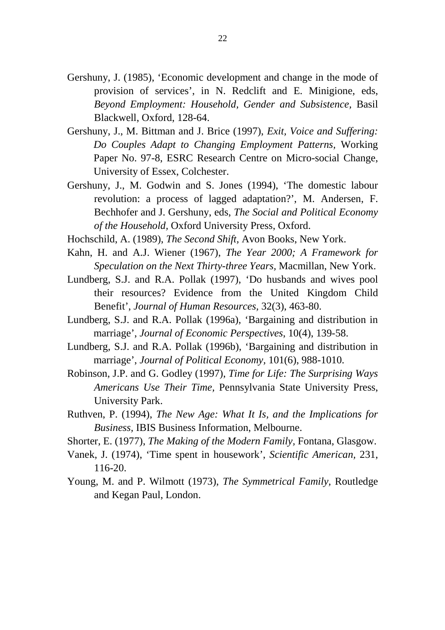- Gershuny, J. (1985), 'Economic development and change in the mode of provision of services', in N. Redclift and E. Minigione, eds, *Beyond Employment: Household, Gender and Subsistence,* Basil Blackwell, Oxford, 128-64.
- Gershuny, J., M. Bittman and J. Brice (1997), *Exit, Voice and Suffering: Do Couples Adapt to Changing Employment Patterns,* Working Paper No. 97-8, ESRC Research Centre on Micro-social Change, University of Essex, Colchester.
- Gershuny, J., M. Godwin and S. Jones (1994), 'The domestic labour revolution: a process of lagged adaptation?', M. Andersen, F. Bechhofer and J. Gershuny, eds, *The Social and Political Economy of the Household,* Oxford University Press, Oxford.
- Hochschild, A. (1989), *The Second Shift,* Avon Books, New York.
- Kahn, H. and A.J. Wiener (1967), *The Year 2000; A Framework for Speculation on the Next Thirty-three Years,* Macmillan, New York.
- Lundberg, S.J. and R.A. Pollak (1997), 'Do husbands and wives pool their resources? Evidence from the United Kingdom Child Benefit', *Journal of Human Resources,* 32(3), 463-80.
- Lundberg, S.J. and R.A. Pollak (1996a), 'Bargaining and distribution in marriage', *Journal of Economic Perspectives*, 10(4), 139-58.
- Lundberg, S.J. and R.A. Pollak (1996b), 'Bargaining and distribution in marriage', *Journal of Political Economy,* 101(6), 988-1010.
- Robinson, J.P. and G. Godley (1997), *Time for Life: The Surprising Ways Americans Use Their Time,* Pennsylvania State University Press, University Park.
- Ruthven, P. (1994), *The New Age: What It Is, and the Implications for Business,* IBIS Business Information, Melbourne.
- Shorter, E. (1977), *The Making of the Modern Family,* Fontana, Glasgow.
- Vanek, J. (1974), 'Time spent in housework', *Scientific American,* 231, 116-20.
- Young, M. and P. Wilmott (1973), *The Symmetrical Family,* Routledge and Kegan Paul, London.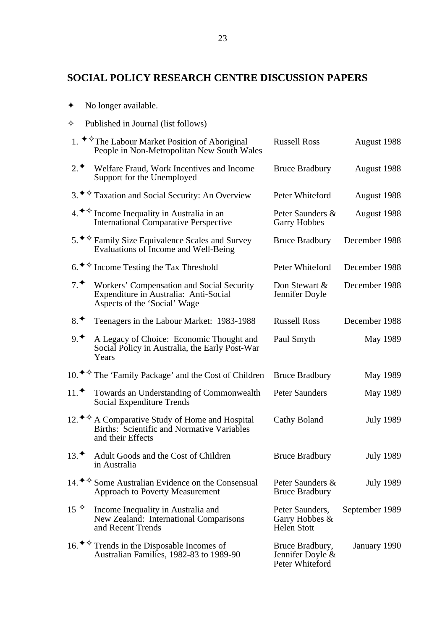#### **SOCIAL POLICY RESEARCH CENTRE DISCUSSION PAPERS**

✦ No longer available.

| ✧                                     | Published in Journal (list follows)                                                                                             |                                                         |                  |
|---------------------------------------|---------------------------------------------------------------------------------------------------------------------------------|---------------------------------------------------------|------------------|
|                                       | 1. <sup>◆◇</sup> The Labour Market Position of Aboriginal<br>People in Non-Metropolitan New South Wales                         | <b>Russell Ross</b>                                     | August 1988      |
| $2^*$                                 | Welfare Fraud, Work Incentives and Income<br>Support for the Unemployed                                                         | <b>Bruce Bradbury</b>                                   | August 1988      |
|                                       | 3. <sup>•</sup> Taxation and Social Security: An Overview                                                                       | Peter Whiteford                                         | August 1988      |
|                                       | $4.$ <sup><math>\diamond</math></sup> Income Inequality in Australia in an<br><b>International Comparative Perspective</b>      | Peter Saunders &<br><b>Garry Hobbes</b>                 | August 1988      |
|                                       | 5. <sup>◆◇</sup> Family Size Equivalence Scales and Survey<br>Evaluations of Income and Well-Being                              | <b>Bruce Bradbury</b>                                   | December 1988    |
|                                       | 6. $\lozenge$ Theome Testing the Tax Threshold                                                                                  | Peter Whiteford                                         | December 1988    |
| $7.$ *                                | Workers' Compensation and Social Security<br>Expenditure in Australia: Anti-Social<br>Aspects of the 'Social' Wage              | Don Stewart &<br>Jennifer Doyle                         | December 1988    |
| $8.$ *                                | Teenagers in the Labour Market: 1983-1988                                                                                       | <b>Russell Ross</b>                                     | December 1988    |
| $9*$                                  | A Legacy of Choice: Economic Thought and<br>Social Policy in Australia, the Early Post-War<br>Years                             | Paul Smyth                                              | May 1989         |
|                                       | 10. <sup>◆◇</sup> The 'Family Package' and the Cost of Children                                                                 | <b>Bruce Bradbury</b>                                   | May 1989         |
| $11.$ <sup><math>\bullet</math></sup> | Towards an Understanding of Commonwealth<br>Social Expenditure Trends                                                           | <b>Peter Saunders</b>                                   | May 1989         |
|                                       | 12. <sup>◆◇</sup> A Comparative Study of Home and Hospital<br>Births: Scientific and Normative Variables<br>and their Effects   | Cathy Boland                                            | <b>July 1989</b> |
| $13.$ *                               | Adult Goods and the Cost of Children<br>in Australia                                                                            | <b>Bruce Bradbury</b>                                   | <b>July 1989</b> |
|                                       | 14. <sup>◆◇</sup> Some Australian Evidence on the Consensual<br><b>Approach to Poverty Measurement</b>                          | Peter Saunders &<br><b>Bruce Bradbury</b>               | <b>July 1989</b> |
| $15^{\diamond}$                       | Income Inequality in Australia and<br>New Zealand: International Comparisons<br>and Recent Trends                               | Peter Saunders,<br>Garry Hobbes &<br><b>Helen Stott</b> | September 1989   |
|                                       | 16. <sup><math>\triangle</math></sup> $\Diamond$ Trends in the Disposable Incomes of<br>Australian Families, 1982-83 to 1989-90 | Bruce Bradbury,<br>Jennifer Doyle &<br>Peter Whiteford  | January 1990     |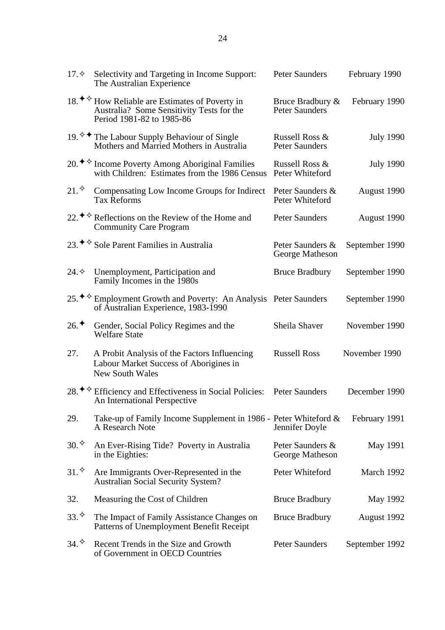| 17. $\diamond$     | Selectivity and Targeting in Income Support:<br>The Australian Experience                                                              | <b>Peter Saunders</b>                     | February 1990    |
|--------------------|----------------------------------------------------------------------------------------------------------------------------------------|-------------------------------------------|------------------|
|                    | 18. $\blacklozenge$ How Reliable are Estimates of Poverty in<br>Australia? Some Sensitivity Tests for the<br>Period 1981-82 to 1985-86 | Bruce Bradbury &<br><b>Peter Saunders</b> | February 1990    |
|                    | 19. <sup>↓</sup> The Labour Supply Behaviour of Single<br>Mothers and Married Mothers in Australia                                     | Russell Ross &<br><b>Peter Saunders</b>   | <b>July 1990</b> |
|                    | 20. <sup>◆◇</sup> Income Poverty Among Aboriginal Families<br>with Children: Estimates from the 1986 Census                            | Russell Ross &<br>Peter Whiteford         | <b>July 1990</b> |
| 21.                | Compensating Low Income Groups for Indirect<br><b>Tax Reforms</b>                                                                      | Peter Saunders &<br>Peter Whiteford       | August 1990      |
|                    | 22. $\blacklozenge \Diamond$ Reflections on the Review of the Home and<br><b>Community Care Program</b>                                | Peter Saunders                            | August 1990      |
|                    | 23. <sup>◆◇</sup> Sole Parent Families in Australia                                                                                    | Peter Saunders &<br>George Matheson       | September 1990   |
| $24. \diamondsuit$ | Unemployment, Participation and<br>Family Incomes in the 1980s                                                                         | <b>Bruce Bradbury</b>                     | September 1990   |
|                    | 25. <sup>◆◇</sup> Employment Growth and Poverty: An Analysis Peter Saunders<br>of Australian Experience, 1983-1990                     |                                           | September 1990   |
| 26. $\bullet$      | Gender, Social Policy Regimes and the<br><b>Welfare State</b>                                                                          | Sheila Shaver                             | November 1990    |
| 27.                | A Probit Analysis of the Factors Influencing<br>Labour Market Success of Aborigines in<br><b>New South Wales</b>                       | <b>Russell Ross</b>                       | November 1990    |
|                    | 28. <sup>◆ ◆</sup> Efficiency and Effectiveness in Social Policies: Peter Saunders<br>An International Perspective                     |                                           | December 1990    |
| 29.                | Take-up of Family Income Supplement in 1986 - Peter Whiteford $\&$<br>A Research Note                                                  | Jennifer Doyle                            | February 1991    |
| 30.                | An Ever-Rising Tide? Poverty in Australia<br>in the Eighties:                                                                          | Peter Saunders &<br>George Matheson       | May 1991         |
| 31.                | Are Immigrants Over-Represented in the<br><b>Australian Social Security System?</b>                                                    | Peter Whiteford                           | March 1992       |
| 32.                | Measuring the Cost of Children                                                                                                         | <b>Bruce Bradbury</b>                     | May 1992         |
| 33. $\diamond$     | The Impact of Family Assistance Changes on<br>Patterns of Unemployment Benefit Receipt                                                 | <b>Bruce Bradbury</b>                     | August 1992      |
| 34. $\diamond$     | Recent Trends in the Size and Growth<br>of Government in OECD Countries                                                                | Peter Saunders                            | September 1992   |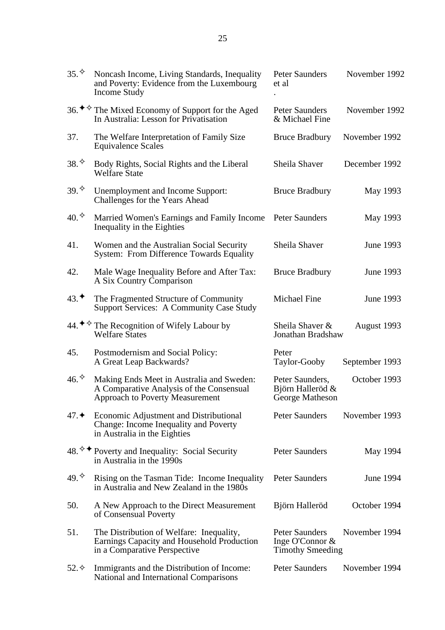| 35.            | Noncash Income, Living Standards, Inequality<br>and Poverty: Evidence from the Luxembourg<br>Income Study                | <b>Peter Saunders</b><br>et al                                      | November 1992  |
|----------------|--------------------------------------------------------------------------------------------------------------------------|---------------------------------------------------------------------|----------------|
|                | 36. <sup>◆◇</sup> The Mixed Economy of Support for the Aged<br>In Australia: Lesson for Privatisation                    | <b>Peter Saunders</b><br>& Michael Fine                             | November 1992  |
| 37.            | The Welfare Interpretation of Family Size<br><b>Equivalence Scales</b>                                                   | <b>Bruce Bradbury</b>                                               | November 1992  |
| 38. $\diamond$ | Body Rights, Social Rights and the Liberal<br><b>Welfare State</b>                                                       | Sheila Shaver                                                       | December 1992  |
| 39. $\diamond$ | <b>Unemployment and Income Support:</b><br>Challenges for the Years Ahead                                                | <b>Bruce Bradbury</b>                                               | May 1993       |
| 40. $\diamond$ | Married Women's Earnings and Family Income<br>Inequality in the Eighties                                                 | Peter Saunders                                                      | May 1993       |
| 41.            | Women and the Australian Social Security<br><b>System: From Difference Towards Equality</b>                              | Sheila Shaver                                                       | June 1993      |
| 42.            | Male Wage Inequality Before and After Tax:<br>A Six Country Comparison                                                   | <b>Bruce Bradbury</b>                                               | June 1993      |
| $43.$ *        | The Fragmented Structure of Community<br><b>Support Services: A Community Case Study</b>                                 | <b>Michael Fine</b>                                                 | June 1993      |
|                | 44. <sup>◆◇</sup> The Recognition of Wifely Labour by<br><b>Welfare States</b>                                           | Sheila Shaver &<br>Jonathan Bradshaw                                | August 1993    |
| 45.            | Postmodernism and Social Policy:<br>A Great Leap Backwards?                                                              | Peter<br>Taylor-Gooby                                               | September 1993 |
| 46. $\diamond$ | Making Ends Meet in Australia and Sweden:<br>A Comparative Analysis of the Consensual<br>Approach to Poverty Measurement | Peter Saunders,<br>Björn Halleröd &<br>George Matheson              | October 1993   |
| 47.            | Economic Adjustment and Distributional<br>Change: Income Inequality and Poverty<br>in Australia in the Eighties          | <b>Peter Saunders</b>                                               | November 1993  |
|                | 48. <sup>◆◆</sup> Poverty and Inequality: Social Security<br>in Australia in the 1990s                                   | <b>Peter Saunders</b>                                               | May 1994       |
| 49.◇           | Rising on the Tasman Tide: Income Inequality<br>in Australia and New Zealand in the 1980s                                | <b>Peter Saunders</b>                                               | June 1994      |
| 50.            | A New Approach to the Direct Measurement<br>of Consensual Poverty                                                        | Björn Halleröd                                                      | October 1994   |
| 51.            | The Distribution of Welfare: Inequality,<br>Earnings Capacity and Household Production<br>in a Comparative Perspective   | <b>Peter Saunders</b><br>Inge O'Connor &<br><b>Timothy Smeeding</b> | November 1994  |
| $52.\diamond$  | Immigrants and the Distribution of Income:<br>National and International Comparisons                                     | <b>Peter Saunders</b>                                               | November 1994  |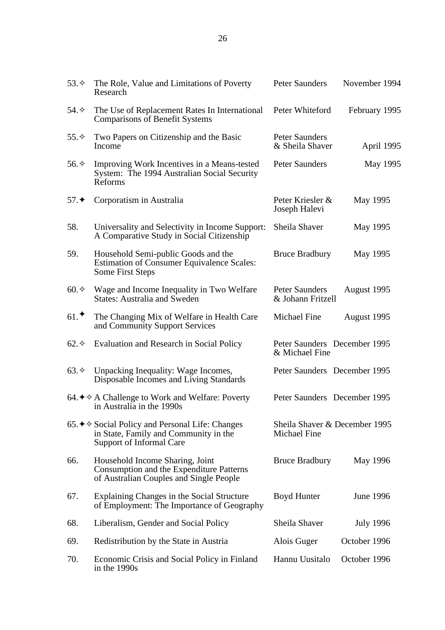| 53. $\diamond$ | The Role, Value and Limitations of Poverty<br>Research                                                                        | <b>Peter Saunders</b>                                | November 1994    |
|----------------|-------------------------------------------------------------------------------------------------------------------------------|------------------------------------------------------|------------------|
| 54. $\diamond$ | The Use of Replacement Rates In International<br><b>Comparisons of Benefit Systems</b>                                        | Peter Whiteford                                      | February 1995    |
| 55. $\diamond$ | Two Papers on Citizenship and the Basic<br>Income                                                                             | Peter Saunders<br>& Sheila Shaver                    | April 1995       |
| 56.            | Improving Work Incentives in a Means-tested<br>System: The 1994 Australian Social Security<br>Reforms                         | <b>Peter Saunders</b>                                | May 1995         |
| 57.            | Corporatism in Australia                                                                                                      | Peter Kriesler &<br>Joseph Halevi                    | May 1995         |
| 58.            | Universality and Selectivity in Income Support:<br>A Comparative Study in Social Citizenship                                  | Sheila Shaver                                        | May 1995         |
| 59.            | Household Semi-public Goods and the<br><b>Estimation of Consumer Equivalence Scales:</b><br>Some First Steps                  | <b>Bruce Bradbury</b>                                | May 1995         |
| $60 \diamond$  | Wage and Income Inequality in Two Welfare<br><b>States: Australia and Sweden</b>                                              | Peter Saunders<br>& Johann Fritzell                  | August 1995      |
| $61.$ *        | The Changing Mix of Welfare in Health Care<br>and Community Support Services                                                  | Michael Fine                                         | August 1995      |
| $62.\diamond$  | Evaluation and Research in Social Policy                                                                                      | Peter Saunders December 1995<br>& Michael Fine       |                  |
| $63.\diamond$  | Unpacking Inequality: Wage Incomes,<br>Disposable Incomes and Living Standards                                                | Peter Saunders December 1995                         |                  |
|                | 64. ♦ ↑ A Challenge to Work and Welfare: Poverty<br>in Australia in the 1990s                                                 | Peter Saunders December 1995                         |                  |
|                | 65. $\triangle$ Social Policy and Personal Life: Changes<br>in State, Family and Community in the<br>Support of Informal Care | Sheila Shaver & December 1995<br><b>Michael Fine</b> |                  |
| 66.            | Household Income Sharing, Joint<br>Consumption and the Expenditure Patterns<br>of Australian Couples and Single People        | <b>Bruce Bradbury</b>                                | May 1996         |
| 67.            | Explaining Changes in the Social Structure<br>of Employment: The Importance of Geography                                      | Boyd Hunter                                          | June 1996        |
| 68.            | Liberalism, Gender and Social Policy                                                                                          | Sheila Shaver                                        | <b>July 1996</b> |
| 69.            | Redistribution by the State in Austria                                                                                        | Alois Guger                                          | October 1996     |
| 70.            | Economic Crisis and Social Policy in Finland<br>in the 1990s                                                                  | Hannu Uusitalo                                       | October 1996     |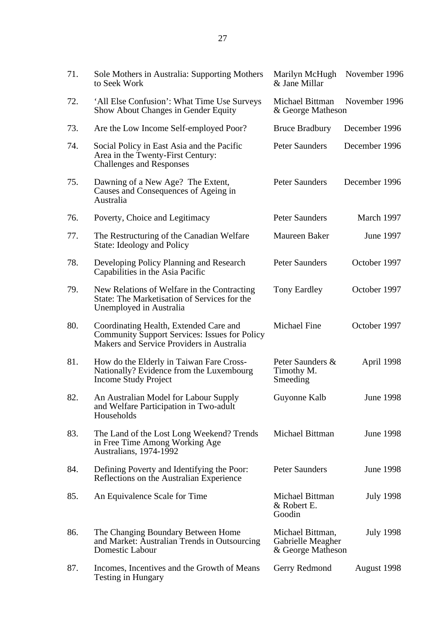| 71. | Sole Mothers in Australia: Supporting Mothers<br>to Seek Work                                                                               | Marilyn McHugh<br>& Jane Millar                            | November 1996    |
|-----|---------------------------------------------------------------------------------------------------------------------------------------------|------------------------------------------------------------|------------------|
| 72. | 'All Else Confusion': What Time Use Surveys<br>Show About Changes in Gender Equity                                                          | Michael Bittman<br>& George Matheson                       | November 1996    |
| 73. | Are the Low Income Self-employed Poor?                                                                                                      | <b>Bruce Bradbury</b>                                      | December 1996    |
| 74. | Social Policy in East Asia and the Pacific<br>Area in the Twenty-First Century:<br><b>Challenges and Responses</b>                          | <b>Peter Saunders</b>                                      | December 1996    |
| 75. | Dawning of a New Age? The Extent,<br>Causes and Consequences of Ageing in<br>Australia                                                      | Peter Saunders                                             | December 1996    |
| 76. | Poverty, Choice and Legitimacy                                                                                                              | <b>Peter Saunders</b>                                      | March 1997       |
| 77. | The Restructuring of the Canadian Welfare<br>State: Ideology and Policy                                                                     | Maureen Baker                                              | June 1997        |
| 78. | Developing Policy Planning and Research<br>Capabilities in the Asia Pacific                                                                 | <b>Peter Saunders</b>                                      | October 1997     |
| 79. | New Relations of Welfare in the Contracting<br>State: The Marketisation of Services for the<br>Unemployed in Australia                      | <b>Tony Eardley</b>                                        | October 1997     |
| 80. | Coordinating Health, Extended Care and<br><b>Community Support Services: Issues for Policy</b><br>Makers and Service Providers in Australia | <b>Michael Fine</b>                                        | October 1997     |
| 81. | How do the Elderly in Taiwan Fare Cross-<br>Nationally? Evidence from the Luxembourg<br><b>Income Study Project</b>                         | Peter Saunders &<br>Timothy M.<br>Smeeding                 | April 1998       |
| 82. | An Australian Model for Labour Supply<br>and Welfare Participation in Two-adult<br>Households                                               | Guyonne Kalb                                               | <b>June 1998</b> |
| 83. | The Land of the Lost Long Weekend? Trends<br>in Free Time Among Working Age<br>Australians, 1974-1992                                       | Michael Bittman                                            | <b>June 1998</b> |
| 84. | Defining Poverty and Identifying the Poor:<br>Reflections on the Australian Experience                                                      | <b>Peter Saunders</b>                                      | <b>June 1998</b> |
| 85. | An Equivalence Scale for Time                                                                                                               | Michael Bittman<br>& Robert E.<br>Goodin                   | <b>July 1998</b> |
| 86. | The Changing Boundary Between Home<br>and Market: Australian Trends in Outsourcing<br>Domestic Labour                                       | Michael Bittman,<br>Gabrielle Meagher<br>& George Matheson | <b>July 1998</b> |
| 87. | Incomes, Incentives and the Growth of Means<br><b>Testing in Hungary</b>                                                                    | Gerry Redmond                                              | August 1998      |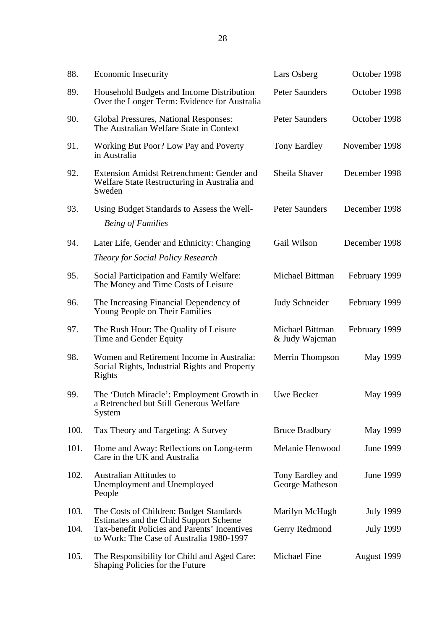| 88.  | <b>Economic Insecurity</b>                                                                                                         | Lars Osberg                         | October 1998     |
|------|------------------------------------------------------------------------------------------------------------------------------------|-------------------------------------|------------------|
| 89.  | Household Budgets and Income Distribution<br>Over the Longer Term: Evidence for Australia                                          | <b>Peter Saunders</b>               | October 1998     |
| 90.  | <b>Global Pressures, National Responses:</b><br>The Australian Welfare State in Context                                            | <b>Peter Saunders</b>               | October 1998     |
| 91.  | Working But Poor? Low Pay and Poverty<br>in Australia                                                                              | <b>Tony Eardley</b>                 | November 1998    |
| 92.  | Extension Amidst Retrenchment: Gender and<br>Welfare State Restructuring in Australia and<br>Sweden                                | Sheila Shaver                       | December 1998    |
| 93.  | Using Budget Standards to Assess the Well-                                                                                         | Peter Saunders                      | December 1998    |
|      | <b>Being of Families</b>                                                                                                           |                                     |                  |
| 94.  | Later Life, Gender and Ethnicity: Changing                                                                                         | Gail Wilson                         | December 1998    |
|      | <b>Theory for Social Policy Research</b>                                                                                           |                                     |                  |
| 95.  | Social Participation and Family Welfare:<br>The Money and Time Costs of Leisure                                                    | Michael Bittman                     | February 1999    |
| 96.  | The Increasing Financial Dependency of<br>Young People on Their Families                                                           | Judy Schneider                      | February 1999    |
| 97.  | The Rush Hour: The Quality of Leisure<br>Time and Gender Equity                                                                    | Michael Bittman<br>& Judy Wajcman   | February 1999    |
| 98.  | Women and Retirement Income in Australia:<br>Social Rights, Industrial Rights and Property<br>Rights                               | Merrin Thompson                     | May 1999         |
| 99.  | The 'Dutch Miracle': Employment Growth in<br>a Retrenched but Still Generous Welfare<br>System                                     | Uwe Becker                          | May 1999         |
| 100. | Tax Theory and Targeting: A Survey                                                                                                 | <b>Bruce Bradbury</b>               | May 1999         |
| 101. | Home and Away: Reflections on Long-term<br>Care in the UK and Australia                                                            | Melanie Henwood                     | June 1999        |
| 102. | <b>Australian Attitudes to</b><br>Unemployment and Unemployed<br>People                                                            | Tony Eardley and<br>George Matheson | June 1999        |
| 103. | The Costs of Children: Budget Standards                                                                                            | Marilyn McHugh                      | July 1999        |
| 104. | Estimates and the Child Support Scheme<br>Tax-benefit Policies and Parents' Incentives<br>to Work: The Case of Australia 1980-1997 | Gerry Redmond                       | <b>July 1999</b> |
| 105. | The Responsibility for Child and Aged Care:<br>Shaping Policies for the Future                                                     | <b>Michael Fine</b>                 | August 1999      |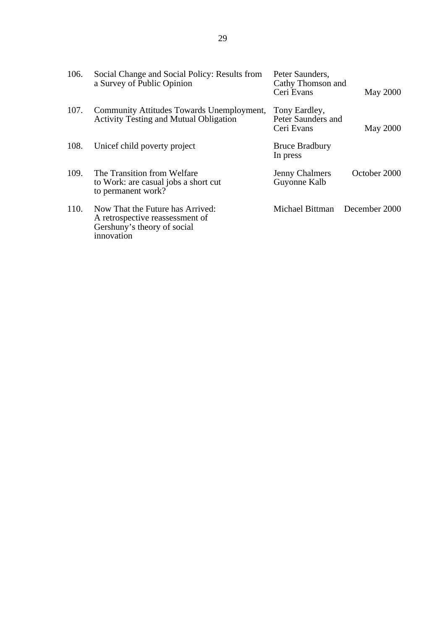| 106. | Social Change and Social Policy: Results from<br>a Survey of Public Opinion                                      | Peter Saunders,<br>Cathy Thomson and<br>Ceri Evans | May 2000        |
|------|------------------------------------------------------------------------------------------------------------------|----------------------------------------------------|-----------------|
| 107. | Community Attitudes Towards Unemployment,<br><b>Activity Testing and Mutual Obligation</b>                       | Tony Eardley,<br>Peter Saunders and<br>Ceri Evans  | <b>May 2000</b> |
| 108. | Unicef child poverty project                                                                                     | <b>Bruce Bradbury</b><br>In press                  |                 |
| 109. | The Transition from Welfare<br>to Work: are casual jobs a short cut<br>to permanent work?                        | Jenny Chalmers<br>Guyonne Kalb                     | October 2000    |
| 110. | Now That the Future has Arrived:<br>A retrospective reassessment of<br>Gershuny's theory of social<br>innovation | Michael Bittman                                    | December 2000   |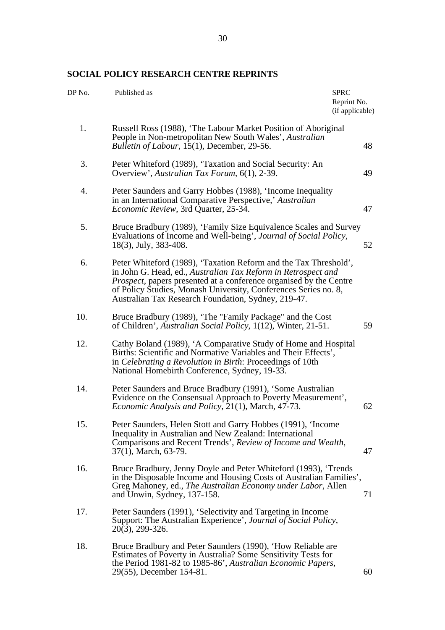#### **SOCIAL POLICY RESEARCH CENTRE REPRINTS**

| DP No. | Published as                                                                                                                                                                                                                                                                                                                              | <b>SPRC</b><br>Reprint No.<br>(if applicable) |
|--------|-------------------------------------------------------------------------------------------------------------------------------------------------------------------------------------------------------------------------------------------------------------------------------------------------------------------------------------------|-----------------------------------------------|
| 1.     | Russell Ross (1988), 'The Labour Market Position of Aboriginal<br>People in Non-metropolitan New South Wales', Australian<br>Bulletin of Labour, 15(1), December, 29-56.                                                                                                                                                                  | 48                                            |
| 3.     | Peter Whiteford (1989), 'Taxation and Social Security: An<br>Overview', Australian Tax Forum, 6(1), 2-39.                                                                                                                                                                                                                                 | 49                                            |
| 4.     | Peter Saunders and Garry Hobbes (1988), 'Income Inequality<br>in an International Comparative Perspective,' Australian<br>Economic Review, 3rd Quarter, 25-34.                                                                                                                                                                            | 47                                            |
| 5.     | Bruce Bradbury (1989), 'Family Size Equivalence Scales and Survey<br>Evaluations of Income and Well-being', <i>Journal of Social Policy</i> ,<br>18(3), July, 383-408.                                                                                                                                                                    | 52                                            |
| 6.     | Peter Whiteford (1989), 'Taxation Reform and the Tax Threshold',<br>in John G. Head, ed., Australian Tax Reform in Retrospect and<br><i>Prospect</i> , papers presented at a conference organised by the Centre<br>of Policy Studies, Monash University, Conferences Series no. 8,<br>Australian Tax Research Foundation, Sydney, 219-47. |                                               |
| 10.    | Bruce Bradbury (1989), 'The "Family Package" and the Cost<br>of Children', Australian Social Policy, 1(12), Winter, 21-51.                                                                                                                                                                                                                | 59                                            |
| 12.    | Cathy Boland (1989), 'A Comparative Study of Home and Hospital<br>Births: Scientific and Normative Variables and Their Effects',<br>in Celebrating a Revolution in Birth: Proceedings of 10th<br>National Homebirth Conference, Sydney, 19-33.                                                                                            |                                               |
| 14.    | Peter Saunders and Bruce Bradbury (1991), 'Some Australian<br>Evidence on the Consensual Approach to Poverty Measurement',<br>Economic Analysis and Policy, 21(1), March, 47-73.                                                                                                                                                          | 62                                            |
| 15.    | Peter Saunders, Helen Stott and Garry Hobbes (1991), 'Income<br>Inequality in Australian and New Zealand: International<br>Comparisons and Recent Trends', Review of Income and Wealth,<br>37(1), March, 63-79.                                                                                                                           | 47                                            |
| 16.    | Bruce Bradbury, Jenny Doyle and Peter Whiteford (1993), 'Trends<br>in the Disposable Income and Housing Costs of Australian Families',<br>Greg Mahoney, ed., The Australian Economy under Labor, Allen<br>and Unwin, Sydney, 137-158.                                                                                                     | 71                                            |
| 17.    | Peter Saunders (1991), 'Selectivity and Targeting in Income<br>Support: The Australian Experience', Journal of Social Policy,<br>$20(3)$ , 299-326.                                                                                                                                                                                       |                                               |
| 18.    | Bruce Bradbury and Peter Saunders (1990), 'How Reliable are<br>Estimates of Poverty in Australia? Some Sensitivity Tests for<br>the Period 1981-82 to 1985-86', Australian Economic Papers,<br>29(55), December 154-81.                                                                                                                   | 60                                            |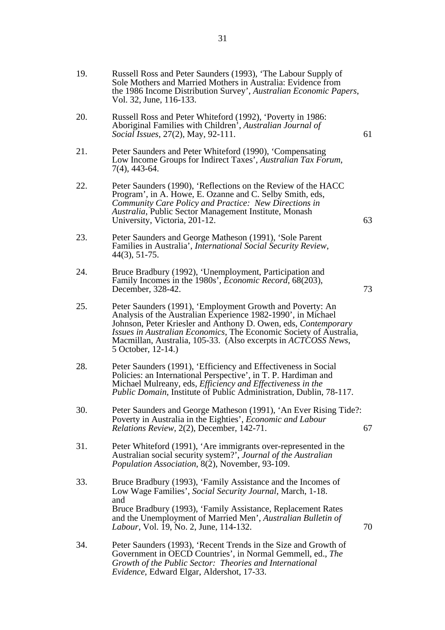- 19. Russell Ross and Peter Saunders (1993), 'The Labour Supply of Sole Mothers and Married Mothers in Australia: Evidence from the 1986 Income Distribution Survey', *Australian Economic Papers*, Vol. 32, June, 116-133.
- 20. Russell Ross and Peter Whiteford (1992), 'Poverty in 1986: Aboriginal Families with Children', *Australian Journal of Social Issues*, 27(2), May, 92-111. 61
- 21. Peter Saunders and Peter Whiteford (1990), 'Compensating Low Income Groups for Indirect Taxes', *Australian Tax Forum*, 7(4), 443-64.
- 22. Peter Saunders (1990), 'Reflections on the Review of the HACC Program', in A. Howe, E. Ozanne and C. Selby Smith, eds, *Community Care Policy and Practice: New Directions in Australia*, Public Sector Management Institute, Monash University, Victoria, 201-12. 63
- 23. Peter Saunders and George Matheson (1991), 'Sole Parent Families in Australia', *International Social Security Review*, 44(3), 51-75.
- 24. Bruce Bradbury (1992), 'Unemployment, Participation and Family Incomes in the 1980s', *Economic Record*, 68(203), December, 328-42. 73
- 25. Peter Saunders (1991), 'Employment Growth and Poverty: An Analysis of the Australian Experience 1982-1990', in Michael Johnson, Peter Kriesler and Anthony D. Owen, eds, *Contemporary Issues in Australian Economics*, The Economic Society of Australia, Macmillan, Australia, 105-33. (Also excerpts in *ACTCOSS News*, 5 October, 12-14.)
- 28. Peter Saunders (1991), 'Efficiency and Effectiveness in Social Policies: an International Perspective', in T. P. Hardiman and Michael Mulreany, eds, *Efficiency and Effectiveness in the Public Domain*, Institute of Public Administration, Dublin, 78-117.
- 30. Peter Saunders and George Matheson (1991), 'An Ever Rising Tide?: Poverty in Australia in the Eighties', *Economic and Labour Relations Review*, 2(2), December, 142-71. 67
- 31. Peter Whiteford (1991), 'Are immigrants over-represented in the Australian social security system?', *Journal of the Australian*
- 33. Bruce Bradbury (1993), 'Family Assistance and the Incomes of Low Wage Families', *Social Security Journal*, March, 1-18. and Bruce Bradbury (1993), 'Family Assistance, Replacement Rates and the Unemployment of Married Men', *Australian Bulletin of Labour*, Vol. 19, No. 2, June, 114-132. 70

*Population Association*, 8(2), November, 93-109.

34. Peter Saunders (1993), 'Recent Trends in the Size and Growth of Government in OECD Countries', in Normal Gemmell, ed., *The Growth of the Public Sector: Theories and International Evidence*, Edward Elgar, Aldershot, 17-33.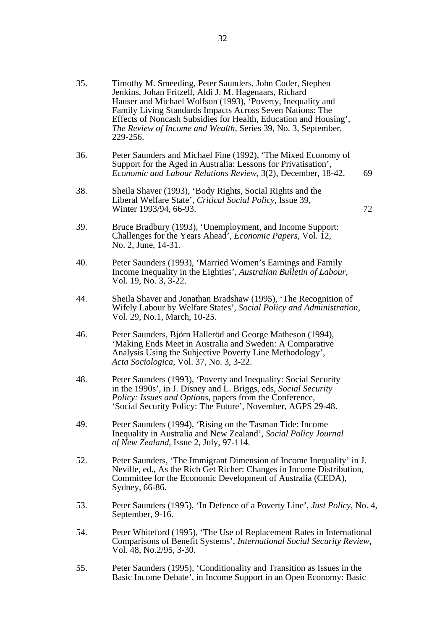- 35. Timothy M. Smeeding, Peter Saunders, John Coder, Stephen Jenkins, Johan Fritzell, Aldi J. M. Hagenaars, Richard Hauser and Michael Wolfson (1993), 'Poverty, Inequality and Family Living Standards Impacts Across Seven Nations: The Effects of Noncash Subsidies for Health, Education and Housing', *The Review of Income and Wealth*, Series 39, No. 3, September, 229-256.
- 36. Peter Saunders and Michael Fine (1992), 'The Mixed Economy of Support for the Aged in Australia: Lessons for Privatisation', *Economic and Labour Relations Review*, 3(2), December, 18-42. 69
- 38. Sheila Shaver (1993), 'Body Rights, Social Rights and the Liberal Welfare State', *Critical Social Policy*, Issue 39, Winter 1993/94, 66-93. 72
- 39. Bruce Bradbury (1993), 'Unemployment, and Income Support: Challenges for the Years Ahead', *Economic Papers*, Vol. 12, No. 2, June, 14-31.
- 40. Peter Saunders (1993), 'Married Women's Earnings and Family Income Inequality in the Eighties', *Australian Bulletin of Labour*, Vol. 19, No. 3, 3-22.
- 44. Sheila Shaver and Jonathan Bradshaw (1995), 'The Recognition of Wifely Labour by Welfare States', *Social Policy and Administration*, Vol. 29, No.1, March, 10-25.
- 46. Peter Saunders, Björn Halleröd and George Matheson (1994), 'Making Ends Meet in Australia and Sweden: A Comparative Analysis Using the Subjective Poverty Line Methodology', *Acta Sociologica*, Vol. 37, No. 3, 3-22.
- 48. Peter Saunders (1993), 'Poverty and Inequality: Social Security in the 1990s', in J. Disney and L. Briggs, eds, *Social Security Policy: Issues and Options*, papers from the Conference, 'Social Security Policy: The Future', November, AGPS 29-48.
- 49. Peter Saunders (1994), 'Rising on the Tasman Tide: Income Inequality in Australia and New Zealand', *Social Policy Journal of New Zealand*, Issue 2, July, 97-114.
- 52. Peter Saunders, 'The Immigrant Dimension of Income Inequality' in J. Neville, ed., As the Rich Get Richer: Changes in Income Distribution, Committee for the Economic Development of Australia (CEDA), Sydney, 66-86.
- 53. Peter Saunders (1995), 'In Defence of a Poverty Line', *Just Policy*, No. 4, September, 9-16.
- 54. Peter Whiteford (1995), 'The Use of Replacement Rates in International Comparisons of Benefit Systems', *International Social Security Review*, Vol. 48, No.2/95, 3-30.
- 55. Peter Saunders (1995), 'Conditionality and Transition as Issues in the Basic Income Debate', in Income Support in an Open Economy: Basic